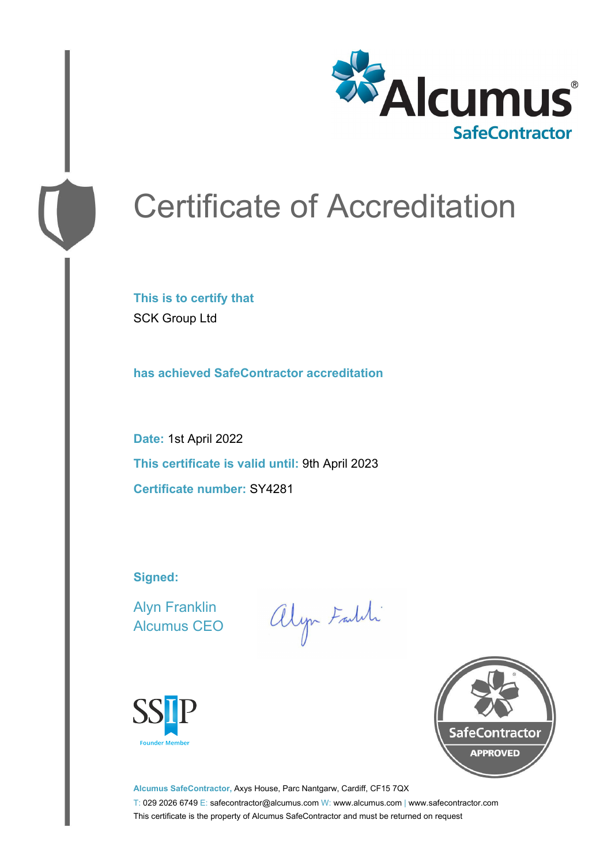

# Certificate of Accreditation

**This is to certify that** SCK Group Ltd

**has achieved SafeContractor accreditation**

**Date:** 1st April 2022 **This certificate is valid until:** 9th April 2023 **Certificate number:** SY4281

**Signed:**

Alyn Franklin Alcumus CEO

alyn Faldi





**Alcumus SafeContractor,** Axys House, Parc Nantgarw, Cardiff, CF15 7QX T: 029 2026 6749 E: safecontractor@alcumus.com W: www.alcumus.com | www.safecontractor.com This certificate is the property of Alcumus SafeContractor and must be returned on request